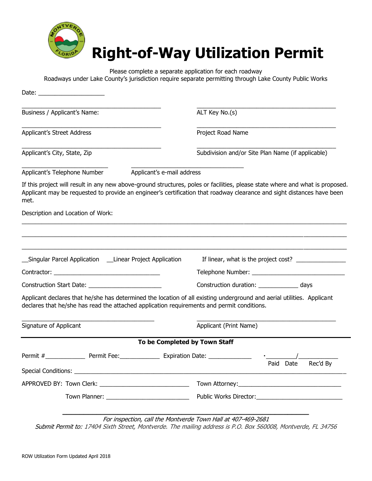

## **Right-of-Way Utilization Permit**

Please complete a separate application for each roadway Roadways under Lake County's jurisdiction require separate permitting through Lake County Public Works

| Business / Applicant's Name:                                                                                                                                                                                                                                    |                            | ALT Key No.(s)<br>Project Road Name                                               |                                                   |
|-----------------------------------------------------------------------------------------------------------------------------------------------------------------------------------------------------------------------------------------------------------------|----------------------------|-----------------------------------------------------------------------------------|---------------------------------------------------|
| <b>Applicant's Street Address</b>                                                                                                                                                                                                                               |                            |                                                                                   |                                                   |
| Applicant's City, State, Zip                                                                                                                                                                                                                                    |                            |                                                                                   | Subdivision and/or Site Plan Name (if applicable) |
| Applicant's Telephone Number                                                                                                                                                                                                                                    | Applicant's e-mail address |                                                                                   |                                                   |
| If this project will result in any new above-ground structures, poles or facilities, please state where and what is proposed.<br>Applicant may be requested to provide an engineer's certification that roadway clearance and sight distances have been<br>met. |                            |                                                                                   |                                                   |
| Description and Location of Work:                                                                                                                                                                                                                               |                            |                                                                                   |                                                   |
| __Singular Parcel Application ___Linear Project Application                                                                                                                                                                                                     |                            |                                                                                   | If linear, what is the project cost?              |
|                                                                                                                                                                                                                                                                 |                            |                                                                                   |                                                   |
|                                                                                                                                                                                                                                                                 |                            | Construction duration: ________________ days                                      |                                                   |
| Applicant declares that he/she has determined the location of all existing underground and aerial utilities. Applicant<br>declares that he/she has read the attached application requirements and permit conditions.                                            |                            |                                                                                   |                                                   |
| Signature of Applicant                                                                                                                                                                                                                                          |                            | Applicant (Print Name)                                                            |                                                   |
|                                                                                                                                                                                                                                                                 |                            | To be Completed by Town Staff                                                     |                                                   |
| Permit #<br>Permit Fee:                                                                                                                                                                                                                                         |                            | Expiration Date: _______________                                                  | Rec'd By<br>Paid Date                             |
| APPROVED BY: Town Clerk: __________________________________                                                                                                                                                                                                     |                            |                                                                                   |                                                   |
|                                                                                                                                                                                                                                                                 |                            |                                                                                   |                                                   |
|                                                                                                                                                                                                                                                                 |                            | $F_{\rm eff}$ is an action of the Martian de $F_{\rm core}$ the that 407 400 3001 |                                                   |

For inspection, call the Montverde Town Hall at 407-469-2681 Submit Permit to: 17404 Sixth Street, Montverde. The mailing address is P.O. Box 560008, Montverde, FL 34756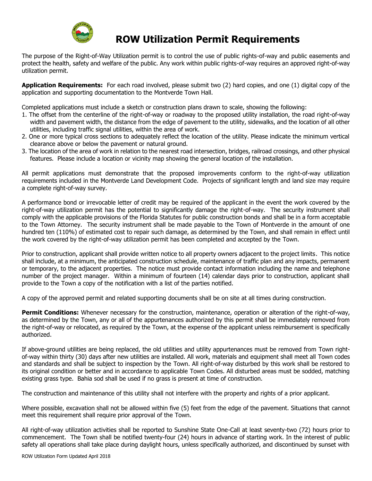

## **ROW Utilization Permit Requirements**

The purpose of the Right-of-Way Utilization permit is to control the use of public rights-of-way and public easements and protect the health, safety and welfare of the public. Any work within public rights-of-way requires an approved right-of-way utilization permit.

**Application Requirements:** For each road involved, please submit two (2) hard copies, and one (1) digital copy of the application and supporting documentation to the Montverde Town Hall.

Completed applications must include a sketch or construction plans drawn to scale, showing the following:

- 1. The offset from the centerline of the right-of-way or roadway to the proposed utility installation, the road right-of-way width and pavement width, the distance from the edge of pavement to the utility, sidewalks, and the location of all other utilities, including traffic signal utilities, within the area of work.
- 2. One or more typical cross sections to adequately reflect the location of the utility. Please indicate the minimum vertical clearance above or below the pavement or natural ground.
- 3. The location of the area of work in relation to the nearest road intersection, bridges, railroad crossings, and other physical features. Please include a location or vicinity map showing the general location of the installation.

All permit applications must demonstrate that the proposed improvements conform to the right-of-way utilization requirements included in the Montverde Land Development Code. Projects of significant length and land size may require a complete right-of-way survey.

A performance bond or irrevocable letter of credit may be required of the applicant in the event the work covered by the right-of-way utilization permit has the potential to significantly damage the right-of-way. The security instrument shall comply with the applicable provisions of the Florida Statutes for public construction bonds and shall be in a form acceptable to the Town Attorney. The security instrument shall be made payable to the Town of Montverde in the amount of one hundred ten (110%) of estimated cost to repair such damage, as determined by the Town, and shall remain in effect until the work covered by the right-of-way utilization permit has been completed and accepted by the Town.

Prior to construction, applicant shall provide written notice to all property owners adjacent to the project limits. This notice shall include, at a minimum, the anticipated construction schedule, maintenance of traffic plan and any impacts, permanent or temporary, to the adjacent properties. The notice must provide contact information including the name and telephone number of the project manager. Within a minimum of fourteen (14) calendar days prior to construction, applicant shall provide to the Town a copy of the notification with a list of the parties notified.

A copy of the approved permit and related supporting documents shall be on site at all times during construction.

**Permit Conditions:** Whenever necessary for the construction, maintenance, operation or alteration of the right-of-way, as determined by the Town, any or all of the appurtenances authorized by this permit shall be immediately removed from the right-of-way or relocated, as required by the Town, at the expense of the applicant unless reimbursement is specifically authorized.

If above-ground utilities are being replaced, the old utilities and utility appurtenances must be removed from Town rightof-way within thirty (30) days after new utilities are installed. All work, materials and equipment shall meet all Town codes and standards and shall be subject to inspection by the Town. All right-of-way disturbed by this work shall be restored to its original condition or better and in accordance to applicable Town Codes. All disturbed areas must be sodded, matching existing grass type. Bahia sod shall be used if no grass is present at time of construction.

The construction and maintenance of this utility shall not interfere with the property and rights of a prior applicant.

Where possible, excavation shall not be allowed within five (5) feet from the edge of the pavement. Situations that cannot meet this requirement shall require prior approval of the Town.

All right-of-way utilization activities shall be reported to Sunshine State One-Call at least seventy-two (72) hours prior to commencement. The Town shall be notified twenty-four (24) hours in advance of starting work. In the interest of public safety all operations shall take place during daylight hours, unless specifically authorized, and discontinued by sunset with